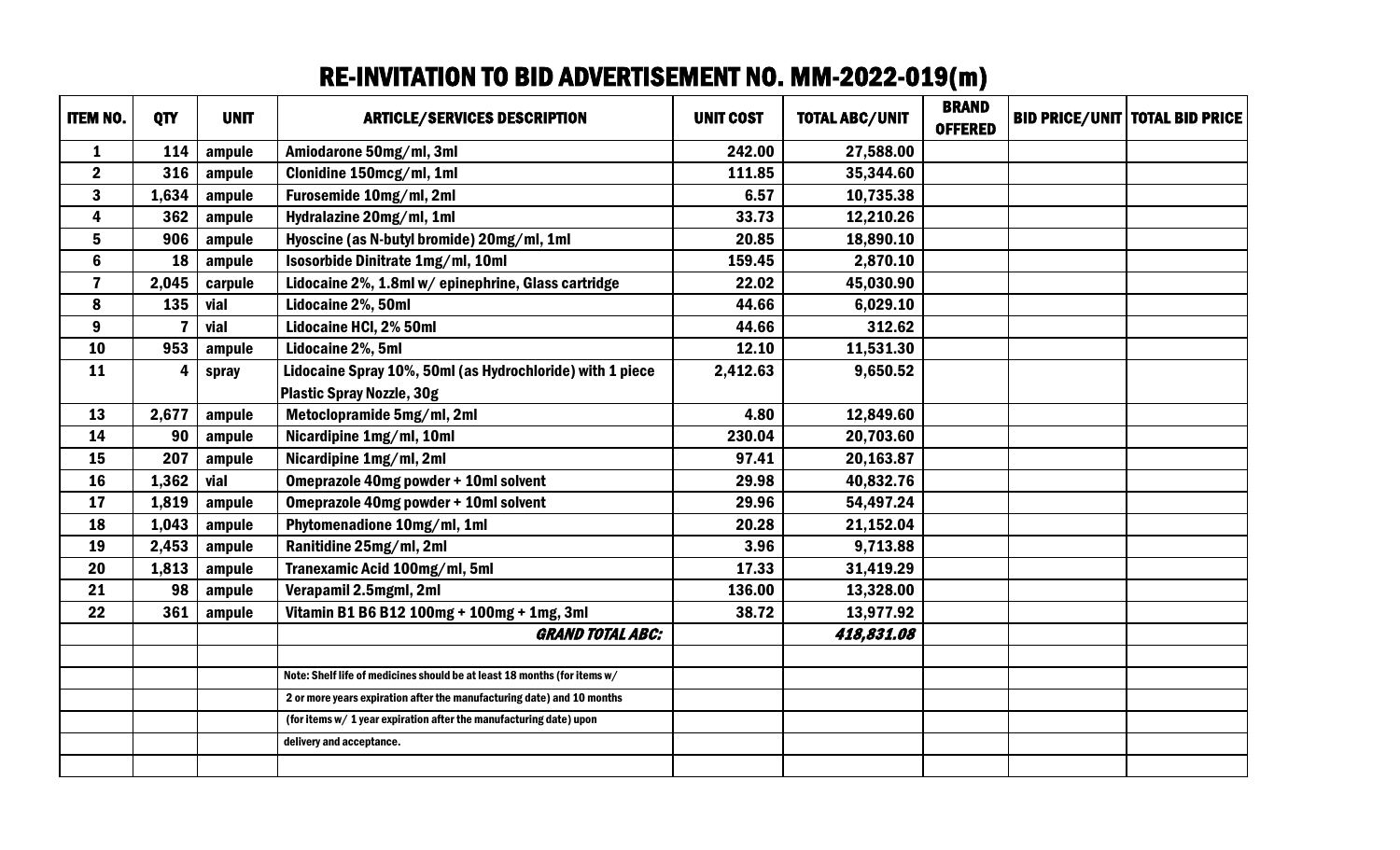## RE-INVITATION TO BID ADVERTISEMENT NO. MM-2022-019(m)

| <b>ITEM NO.</b>         | QTY   | <b>UNIT</b> | <b>ARTICLE/SERVICES DESCRIPTION</b>                                      | <b>UNIT COST</b> | <b>TOTAL ABC/UNIT</b> | <b>BRAND</b><br><b>OFFERED</b> | <b>BID PRICE/UNIT TOTAL BID PRICE</b> |
|-------------------------|-------|-------------|--------------------------------------------------------------------------|------------------|-----------------------|--------------------------------|---------------------------------------|
| $\mathbf{1}$            | 114   | ampule      | Amiodarone 50mg/ml, 3ml                                                  | 242.00           | 27,588.00             |                                |                                       |
| $\mathbf 2$             | 316   | ampule      | Clonidine 150mcg/ml, 1ml                                                 | 111.85           | 35,344.60             |                                |                                       |
| $\mathbf{3}$            | 1,634 | ampule      | Furosemide 10mg/ml, 2ml                                                  | 6.57             | 10,735.38             |                                |                                       |
| $\overline{\mathbf{4}}$ | 362   | ampule      | Hydralazine 20mg/ml, 1ml                                                 | 33.73            | 12,210.26             |                                |                                       |
| $5\phantom{a}$          | 906   | ampule      | Hyoscine (as N-butyl bromide) 20mg/ml, 1ml                               | 20.85            | 18,890.10             |                                |                                       |
| $6\phantom{a}$          | 18    | ampule      | Isosorbide Dinitrate 1mg/ml, 10ml                                        | 159.45           | 2,870.10              |                                |                                       |
| $\overline{7}$          | 2,045 | carpule     | Lidocaine 2%, 1.8ml w/epinephrine, Glass cartridge                       | 22.02            | 45,030.90             |                                |                                       |
| 8                       | 135   | vial        | Lidocaine 2%, 50ml                                                       | 44.66            | 6,029.10              |                                |                                       |
| 9                       |       | vial        | Lidocaine HCI, 2% 50ml                                                   | 44.66            | 312.62                |                                |                                       |
| 10                      | 953   | ampule      | Lidocaine 2%, 5ml                                                        | 12.10            | 11,531.30             |                                |                                       |
| 11                      | 4     | spray       | Lidocaine Spray 10%, 50ml (as Hydrochloride) with 1 piece                | 2,412.63         | 9,650.52              |                                |                                       |
|                         |       |             | <b>Plastic Spray Nozzle, 30g</b>                                         |                  |                       |                                |                                       |
| 13                      | 2,677 | ampule      | Metoclopramide 5mg/ml, 2ml                                               | 4.80             | 12,849.60             |                                |                                       |
| 14                      | 90    | ampule      | Nicardipine 1mg/ml, 10ml                                                 | 230.04           | 20,703.60             |                                |                                       |
| 15                      | 207   | ampule      | Nicardipine 1mg/ml, 2ml                                                  | 97.41            | 20,163.87             |                                |                                       |
| 16                      | 1,362 | vial        | Omeprazole 40mg powder + 10ml solvent                                    | 29.98            | 40,832.76             |                                |                                       |
| 17                      | 1,819 | ampule      | Omeprazole 40mg powder + 10ml solvent                                    | 29.96            | 54,497.24             |                                |                                       |
| 18                      | 1,043 | ampule      | Phytomenadione 10mg/ml, 1ml                                              | 20.28            | 21,152.04             |                                |                                       |
| 19                      | 2,453 | ampule      | Ranitidine 25mg/ml, 2ml                                                  | 3.96             | 9,713.88              |                                |                                       |
| 20                      | 1,813 | ampule      | Tranexamic Acid 100mg/ml, 5ml                                            | 17.33            | 31,419.29             |                                |                                       |
| 21                      | 98    | ampule      | Verapamil 2.5mgml, 2ml                                                   | 136.00           | 13,328.00             |                                |                                       |
| 22                      | 361   | ampule      | Vitamin B1 B6 B12 100mg + 100mg + 1mg, 3ml                               | 38.72            | 13,977.92             |                                |                                       |
|                         |       |             | <b>GRAND TOTAL ABC:</b>                                                  |                  | 418,831.08            |                                |                                       |
|                         |       |             |                                                                          |                  |                       |                                |                                       |
|                         |       |             | Note: Shelf life of medicines should be at least 18 months (for items w/ |                  |                       |                                |                                       |
|                         |       |             | 2 or more years expiration after the manufacturing date) and 10 months   |                  |                       |                                |                                       |
|                         |       |             | (for items w/ 1 year expiration after the manufacturing date) upon       |                  |                       |                                |                                       |
|                         |       |             | delivery and acceptance.                                                 |                  |                       |                                |                                       |
|                         |       |             |                                                                          |                  |                       |                                |                                       |